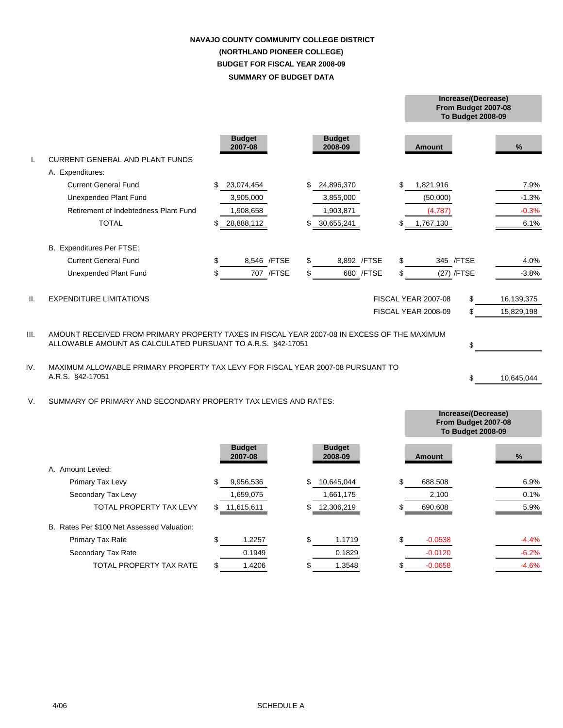# **SUMMARY OF BUDGET DATA NAVAJO COUNTY COMMUNITY COLLEGE DISTRICT (NORTHLAND PIONEER COLLEGE) BUDGET FOR FISCAL YEAR 2008-09**

**From Budget 2007-08**

|      |                                                                                                     |    |                          |              |     |                          |              |                     | <b>To Budget 2008-09</b> |            |
|------|-----------------------------------------------------------------------------------------------------|----|--------------------------|--------------|-----|--------------------------|--------------|---------------------|--------------------------|------------|
| Τ.   | <b>CURRENT GENERAL AND PLANT FUNDS</b>                                                              |    | <b>Budget</b><br>2007-08 |              |     | <b>Budget</b><br>2008-09 |              | Amount              |                          | %          |
|      | A. Expenditures:                                                                                    |    |                          |              |     |                          |              |                     |                          |            |
|      | <b>Current General Fund</b>                                                                         | S  | 23,074,454               |              | \$. | 24,896,370               |              | \$<br>1,821,916     |                          | 7.9%       |
|      | Unexpended Plant Fund                                                                               |    | 3,905,000                |              |     | 3,855,000                |              | (50,000)            |                          | $-1.3%$    |
|      | Retirement of Indebtedness Plant Fund                                                               |    | 1,908,658                |              |     | 1,903,871                |              | (4,787)             |                          | $-0.3%$    |
|      | <b>TOTAL</b>                                                                                        |    | 28,888,112               |              |     | 30,655,241               |              | 1,767,130           |                          | 6.1%       |
|      |                                                                                                     |    |                          |              |     |                          |              |                     |                          |            |
|      | B. Expenditures Per FTSE:                                                                           |    |                          |              |     |                          |              |                     |                          |            |
|      | <b>Current General Fund</b>                                                                         | \$ |                          | 8,546 / FTSE | \$  |                          | 8,892 / FTSE | \$                  | 345 / FTSE               | 4.0%       |
|      | Unexpended Plant Fund                                                                               | \$ |                          | 707 / FTSE   | \$  |                          | 680 / FTSE   | \$                  | (27) /FTSE               | $-3.8%$    |
|      |                                                                                                     |    |                          |              |     |                          |              |                     |                          |            |
| Ш.   | <b>EXPENDITURE LIMITATIONS</b>                                                                      |    |                          |              |     |                          |              | FISCAL YEAR 2007-08 | \$                       | 16,139,375 |
|      |                                                                                                     |    |                          |              |     |                          |              | FISCAL YEAR 2008-09 | \$                       | 15,829,198 |
|      |                                                                                                     |    |                          |              |     |                          |              |                     |                          |            |
| III. | AMOUNT RECEIVED FROM PRIMARY PROPERTY TAXES IN FISCAL YEAR 2007-08 IN EXCESS OF THE MAXIMUM         |    |                          |              |     |                          |              |                     |                          |            |
|      | ALLOWABLE AMOUNT AS CALCULATED PURSUANT TO A.R.S. §42-17051                                         |    |                          |              |     |                          |              |                     | \$                       |            |
|      |                                                                                                     |    |                          |              |     |                          |              |                     |                          |            |
| IV.  | MAXIMUM ALLOWABLE PRIMARY PROPERTY TAX LEVY FOR FISCAL YEAR 2007-08 PURSUANT TO<br>A.R.S. §42-17051 |    |                          |              |     |                          |              |                     | \$                       | 10,645,044 |
|      |                                                                                                     |    |                          |              |     |                          |              |                     |                          |            |
| V.   | SUMMARY OF PRIMARY AND SECONDARY PROPERTY TAX LEVIES AND RATES:                                     |    |                          |              |     |                          |              |                     |                          |            |
|      |                                                                                                     |    |                          |              |     |                          |              |                     | Increase/(Decrease)      |            |
|      |                                                                                                     |    |                          |              |     |                          |              |                     | From Budget 2007-08      |            |
|      |                                                                                                     |    |                          |              |     |                          |              |                     | <b>To Budget 2008-09</b> |            |

|                                            |     | <b>Budget</b><br>2007-08 |     | <b>Budget</b><br>2008-09 | Amount          | $\frac{9}{6}$ |
|--------------------------------------------|-----|--------------------------|-----|--------------------------|-----------------|---------------|
| Amount Levied:<br>A.                       |     |                          |     |                          |                 |               |
| Primary Tax Levy                           | S   | 9,956,536                | S   | 10,645,044               | \$<br>688,508   | 6.9%          |
| Secondary Tax Levy                         |     | 1,659,075                |     | 1,661,175                | 2,100           | 0.1%          |
| <b>TOTAL PROPERTY TAX LEVY</b>             | \$  | 11,615,611               | \$. | 12,306,219               | 690,608         | 5.9%          |
| B. Rates Per \$100 Net Assessed Valuation: |     |                          |     |                          |                 |               |
| <b>Primary Tax Rate</b>                    | \$. | .2257                    | \$  | 1.1719                   | \$<br>$-0.0538$ | $-4.4%$       |
| Secondary Tax Rate                         |     | 0.1949                   |     | 0.1829                   | $-0.0120$       | $-6.2%$       |
| TOTAL PROPERTY TAX RATE                    |     | .4206                    |     | 1.3548                   | $-0.0658$       | $-4.6%$       |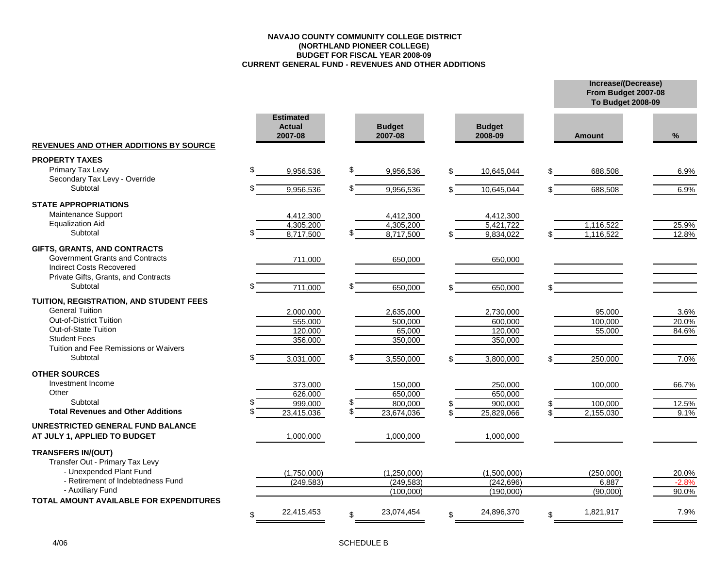### **NAVAJO COUNTY COMMUNITY COLLEGE DISTRICT (NORTHLAND PIONEER COLLEGE) BUDGET FOR FISCAL YEAR 2008-09 CURRENT GENERAL FUND - REVENUES AND OTHER ADDITIONS**

|                                                              |                                              |                          |                          | From Budget 2007-08<br><b>To Budget 2008-09</b> |         |
|--------------------------------------------------------------|----------------------------------------------|--------------------------|--------------------------|-------------------------------------------------|---------|
| REVENUES AND OTHER ADDITIONS BY SOURCE                       | <b>Estimated</b><br><b>Actual</b><br>2007-08 | <b>Budget</b><br>2007-08 | <b>Budget</b><br>2008-09 | <b>Amount</b>                                   | $\%$    |
|                                                              |                                              |                          |                          |                                                 |         |
| <b>PROPERTY TAXES</b>                                        |                                              |                          |                          |                                                 |         |
| Primary Tax Levy<br>Secondary Tax Levy - Override            | \$<br>9,956,536                              | \$<br>9,956,536          | 10,645,044               | \$<br>688,508                                   | 6.9%    |
| Subtotal                                                     | 9,956,536                                    | 9,956,536                | 10,645,044               | 688,508                                         | 6.9%    |
| <b>STATE APPROPRIATIONS</b>                                  |                                              |                          |                          |                                                 |         |
| Maintenance Support                                          | 4,412,300                                    | 4,412,300                | 4,412,300                |                                                 |         |
| <b>Equalization Aid</b>                                      | 4,305,200                                    | 4,305,200                | 5,421,722                | 1,116,522                                       | 25.9%   |
| Subtotal                                                     | 8,717,500                                    | 8,717,500                | 9,834,022                | 1,116,522<br>\$.                                | 12.8%   |
| GIFTS, GRANTS, AND CONTRACTS                                 |                                              |                          |                          |                                                 |         |
| Government Grants and Contracts                              | 711,000                                      | 650,000                  | 650,000                  |                                                 |         |
| <b>Indirect Costs Recovered</b>                              |                                              |                          |                          |                                                 |         |
| Private Gifts, Grants, and Contracts                         |                                              |                          |                          |                                                 |         |
| Subtotal                                                     | 711,000                                      | 650,000                  | 650,000                  | \$                                              |         |
| TUITION, REGISTRATION, AND STUDENT FEES                      |                                              |                          |                          |                                                 |         |
| <b>General Tuition</b>                                       | 2,000,000                                    | 2,635,000                | 2,730,000                | 95,000                                          | 3.6%    |
| <b>Out-of-District Tuition</b>                               | 555,000                                      | 500,000                  | 600,000                  | 100,000                                         | 20.0%   |
| Out-of-State Tuition<br><b>Student Fees</b>                  | 120,000                                      | 65,000                   | 120,000                  | 55,000                                          | 84.6%   |
| Tuition and Fee Remissions or Waivers                        | 356,000                                      | 350,000                  | 350,000                  |                                                 |         |
| Subtotal                                                     | 3,031,000                                    | 3,550,000                | 3,800,000                | 250,000                                         | 7.0%    |
|                                                              |                                              |                          |                          |                                                 |         |
| <b>OTHER SOURCES</b><br>Investment Income                    |                                              |                          |                          |                                                 |         |
| Other                                                        | 373,000<br>626,000                           | 150,000<br>650,000       | 250,000<br>650,000       | 100,000                                         | 66.7%   |
| Subtotal                                                     | 999,000                                      | 800,000                  | 900,000                  | 100,000                                         | 12.5%   |
| <b>Total Revenues and Other Additions</b>                    | 23,415,036                                   | 23,674,036               | 25,829,066               | 2,155,030<br>\$                                 | 9.1%    |
| UNRESTRICTED GENERAL FUND BALANCE                            |                                              |                          |                          |                                                 |         |
| AT JULY 1, APPLIED TO BUDGET                                 | 1,000,000                                    | 1,000,000                | 1,000,000                |                                                 |         |
| <b>TRANSFERS IN/(OUT)</b><br>Transfer Out - Primary Tax Levy |                                              |                          |                          |                                                 |         |
| - Unexpended Plant Fund                                      | (1,750,000)                                  | (1,250,000)              | (1,500,000)              | (250,000)                                       | 20.0%   |
| - Retirement of Indebtedness Fund<br>- Auxiliary Fund        | (249, 583)                                   | (249, 583)               | (242, 696)               | 6,887                                           | $-2.8%$ |
| TOTAL AMOUNT AVAILABLE FOR EXPENDITURES                      |                                              | (100.000)                | (190.000)                | (90.000)                                        | 90.0%   |
|                                                              | 22,415,453<br>\$                             | 23,074,454<br>\$         | 24,896,370<br>\$         | 1,821,917<br>\$                                 | 7.9%    |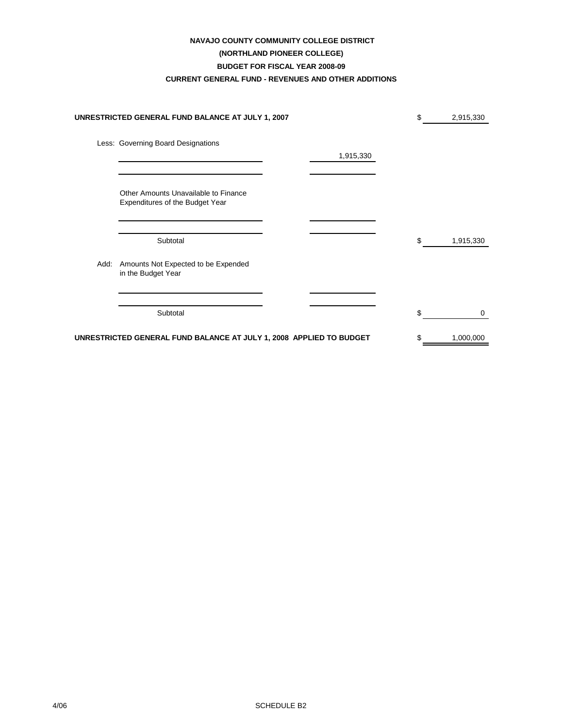## **NAVAJO COUNTY COMMUNITY COLLEGE DISTRICT**

## **(NORTHLAND PIONEER COLLEGE)**

## **BUDGET FOR FISCAL YEAR 2008-09**

## **CURRENT GENERAL FUND - REVENUES AND OTHER ADDITIONS**

|      | UNRESTRICTED GENERAL FUND BALANCE AT JULY 1, 2007                       |           | \$  | 2,915,330 |
|------|-------------------------------------------------------------------------|-----------|-----|-----------|
|      | Less: Governing Board Designations                                      | 1,915,330 |     |           |
|      | Other Amounts Unavailable to Finance<br>Expenditures of the Budget Year |           |     |           |
|      | Subtotal                                                                |           | \$  | 1,915,330 |
| Add: | Amounts Not Expected to be Expended<br>in the Budget Year               |           |     |           |
|      | Subtotal                                                                |           | \$. | 0         |
|      | UNRESTRICTED GENERAL FUND BALANCE AT JULY 1, 2008 APPLIED TO BUDGET     |           |     | 1,000,000 |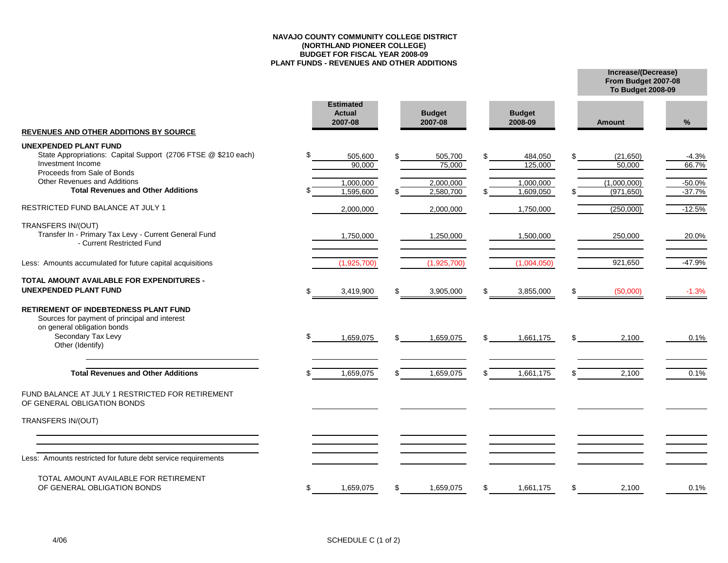#### **NAVAJO COUNTY COMMUNITY COLLEGE DISTRICT (NORTHLAND PIONEER COLLEGE) BUDGET FOR FISCAL YEAR 2008-09 PLANT FUNDS - REVENUES AND OTHER ADDITIONS**

**From Budget 2007-08 Increase/(Decrease) To Budget 2008-09**

| <b>REVENUES AND OTHER ADDITIONS BY SOURCE</b>                                                                                                                   |     | <b>Estimated</b><br><b>Actual</b><br>2007-08 | <b>Budget</b><br>2007-08 |     | <b>Budget</b><br>2008-09 |     | <b>Amount</b>             | %                    |
|-----------------------------------------------------------------------------------------------------------------------------------------------------------------|-----|----------------------------------------------|--------------------------|-----|--------------------------|-----|---------------------------|----------------------|
| <b>UNEXPENDED PLANT FUND</b><br>State Appropriations: Capital Support (2706 FTSE @ \$210 each)<br>Investment Income                                             |     | 505,600<br>90,000                            | 505,700<br>75,000        | \$  | 484,050<br>125,000       |     | (21,650)<br>50.000        | $-4.3%$<br>66.7%     |
| Proceeds from Sale of Bonds<br><b>Other Revenues and Additions</b><br><b>Total Revenues and Other Additions</b>                                                 |     | 1,000,000<br>1.595.600                       | 2,000,000<br>2,580,700   |     | 1,000,000<br>1,609,050   |     | (1,000,000)<br>(971, 650) | $-50.0%$<br>$-37.7%$ |
| RESTRICTED FUND BALANCE AT JULY 1                                                                                                                               |     | 2,000,000                                    | 2,000,000                |     | 1,750,000                |     | (250,000)                 | $-12.5%$             |
| TRANSFERS IN/(OUT)<br>Transfer In - Primary Tax Levy - Current General Fund<br>- Current Restricted Fund                                                        |     | 1,750,000                                    | 1,250,000                |     | 1,500,000                |     | 250,000                   | 20.0%                |
| Less: Amounts accumulated for future capital acquisitions                                                                                                       |     | (1,925,700)                                  | (1,925,700)              |     | (1,004,050)              |     | 921,650                   | $-47.9%$             |
| <b>TOTAL AMOUNT AVAILABLE FOR EXPENDITURES -</b><br><b>UNEXPENDED PLANT FUND</b>                                                                                |     | 3,419,900                                    | 3,905,000                | \$  | 3,855,000                | S   | (50,000)                  | $-1.3%$              |
| RETIREMENT OF INDEBTEDNESS PLANT FUND<br>Sources for payment of principal and interest<br>on general obligation bonds<br>Secondary Tax Levy<br>Other (Identify) | \$  | 1,659,075                                    | 1,659,075                | \$. | 1,661,175                | \$. | 2,100                     | 0.1%                 |
| <b>Total Revenues and Other Additions</b>                                                                                                                       |     | 1,659,075                                    | 1,659,075                | \$  | 1,661,175                |     | 2,100                     | 0.1%                 |
| FUND BALANCE AT JULY 1 RESTRICTED FOR RETIREMENT<br>OF GENERAL OBLIGATION BONDS                                                                                 |     |                                              |                          |     |                          |     |                           |                      |
| TRANSFERS IN/(OUT)                                                                                                                                              |     |                                              |                          |     |                          |     |                           |                      |
| Less: Amounts restricted for future debt service requirements                                                                                                   |     |                                              |                          |     |                          |     |                           |                      |
| TOTAL AMOUNT AVAILABLE FOR RETIREMENT<br>OF GENERAL OBLIGATION BONDS                                                                                            | \$. | 1,659,075                                    | 1,659,075                | \$  | 1,661,175                | \$  | 2,100                     | 0.1%                 |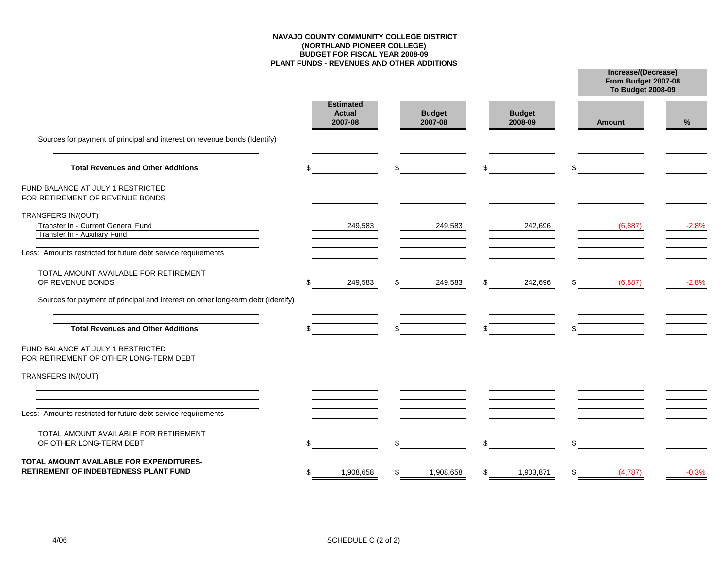#### **NAVAJO COUNTY COMMUNITY COLLEGE DISTRICT (NORTHLAND PIONEER COLLEGE) BUDGET FOR FISCAL YEAR 2008-09 PLANT FUNDS - REVENUES AND OTHER ADDITIONS**

**From Budget 2007-08 Increase/(Decrease)**

|                                                                                   |   |                                              |                          |                          | <b>To Budget 2008-09</b> |         |
|-----------------------------------------------------------------------------------|---|----------------------------------------------|--------------------------|--------------------------|--------------------------|---------|
|                                                                                   |   | <b>Estimated</b><br><b>Actual</b><br>2007-08 | <b>Budget</b><br>2007-08 | <b>Budget</b><br>2008-09 | <b>Amount</b>            | %       |
| Sources for payment of principal and interest on revenue bonds (Identify)         |   |                                              |                          |                          |                          |         |
| <b>Total Revenues and Other Additions</b>                                         |   |                                              |                          | \$                       |                          |         |
| FUND BALANCE AT JULY 1 RESTRICTED<br>FOR RETIREMENT OF REVENUE BONDS              |   |                                              |                          |                          |                          |         |
| TRANSFERS IN/(OUT)<br>Transfer In - Current General Fund                          |   | 249,583                                      | 249,583                  | 242,696                  | (6, 887)                 | $-2.8%$ |
| Transfer In - Auxiliary Fund                                                      |   |                                              |                          |                          |                          |         |
| Less: Amounts restricted for future debt service requirements                     |   |                                              |                          |                          |                          |         |
| TOTAL AMOUNT AVAILABLE FOR RETIREMENT<br>OF REVENUE BONDS                         | S | 249,583                                      | \$<br>249,583            | \$<br>242,696            | \$<br>(6, 887)           | $-2.8%$ |
| Sources for payment of principal and interest on other long-term debt (Identify)  |   |                                              |                          |                          |                          |         |
| <b>Total Revenues and Other Additions</b>                                         |   |                                              |                          |                          |                          |         |
| FUND BALANCE AT JULY 1 RESTRICTED<br>FOR RETIREMENT OF OTHER LONG-TERM DEBT       |   |                                              |                          |                          |                          |         |
| TRANSFERS IN/(OUT)                                                                |   |                                              |                          |                          |                          |         |
| Less: Amounts restricted for future debt service requirements                     |   |                                              |                          |                          |                          |         |
| TOTAL AMOUNT AVAILABLE FOR RETIREMENT<br>OF OTHER LONG-TERM DEBT                  |   |                                              |                          | \$                       | \$                       |         |
| TOTAL AMOUNT AVAILABLE FOR EXPENDITURES-<br>RETIREMENT OF INDEBTEDNESS PLANT FUND |   | 1,908,658                                    | 1,908,658                | \$<br>1,903,871          | \$<br>(4,787)            | $-0.3%$ |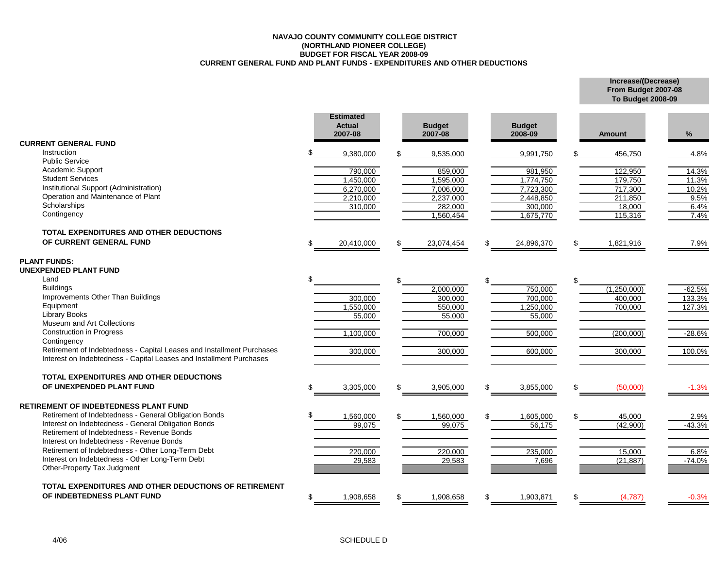#### **NAVAJO COUNTY COMMUNITY COLLEGE DISTRICT (NORTHLAND PIONEER COLLEGE) BUDGET FOR FISCAL YEAR 2008-09 CURRENT GENERAL FUND AND PLANT FUNDS - EXPENDITURES AND OTHER DEDUCTIONS**

**To Budget 2008-09**

**Increase/(Decrease) From Budget 2007-08**

|                                                                                                                                              |     | <b>Estimated</b><br><b>Actual</b><br>2007-08 |     | <b>Budget</b><br>2007-08 | <b>Budget</b><br>2008-09 | <b>Amount</b>   | $\%$     |
|----------------------------------------------------------------------------------------------------------------------------------------------|-----|----------------------------------------------|-----|--------------------------|--------------------------|-----------------|----------|
| <b>CURRENT GENERAL FUND</b><br>Instruction                                                                                                   | ደ   |                                              |     |                          |                          |                 |          |
| <b>Public Service</b>                                                                                                                        |     | 9,380,000                                    |     | 9,535,000                | 9,991,750                | 456,750         | 4.8%     |
| Academic Support                                                                                                                             |     | 790.000                                      |     | 859.000                  | 981.950                  | 122.950         | 14.3%    |
| <b>Student Services</b>                                                                                                                      |     | 1,450,000                                    |     | 1,595,000                | 1,774,750                | 179,750         | 11.3%    |
| Institutional Support (Administration)                                                                                                       |     | 6,270,000                                    |     | 7,006,000                | 7,723,300                | 717,300         | 10.2%    |
| Operation and Maintenance of Plant                                                                                                           |     | 2,210,000                                    |     | 2,237,000                | 2,448,850                | 211,850         | 9.5%     |
| Scholarships                                                                                                                                 |     | 310,000                                      |     | 282,000                  | 300,000                  | 18,000          | 6.4%     |
| Contingency                                                                                                                                  |     |                                              |     | 1.560.454                | 1,675,770                | 115,316         | 7.4%     |
| TOTAL EXPENDITURES AND OTHER DEDUCTIONS                                                                                                      |     |                                              |     |                          |                          |                 |          |
| OF CURRENT GENERAL FUND                                                                                                                      |     | 20,410,000                                   | \$  | 23,074,454               | 24,896,370               | \$<br>1,821,916 | 7.9%     |
|                                                                                                                                              |     |                                              |     |                          |                          |                 |          |
| <b>PLANT FUNDS:</b><br><b>UNEXPENDED PLANT FUND</b>                                                                                          |     |                                              |     |                          |                          |                 |          |
| Land                                                                                                                                         |     |                                              |     |                          |                          | \$              |          |
| <b>Buildings</b>                                                                                                                             |     |                                              |     | 2,000,000                | 750,000                  | (1,250,000)     | $-62.5%$ |
| Improvements Other Than Buildings                                                                                                            |     | 300,000                                      |     | 300.000                  | 700,000                  | 400,000         | 133.3%   |
| Equipment<br><b>Library Books</b>                                                                                                            |     | 1,550,000                                    |     | 550,000                  | 1,250,000                | 700,000         | 127.3%   |
| Museum and Art Collections                                                                                                                   |     | 55,000                                       |     | 55,000                   | 55,000                   |                 |          |
| <b>Construction in Progress</b>                                                                                                              |     | 1,100,000                                    |     | 700,000                  | 500,000                  | (200,000)       | $-28.6%$ |
| Contingency                                                                                                                                  |     |                                              |     |                          |                          |                 |          |
| Retirement of Indebtedness - Capital Leases and Installment Purchases<br>Interest on Indebtedness - Capital Leases and Installment Purchases |     | 300,000                                      |     | 300,000                  | 600,000                  | 300,000         | 100.0%   |
| TOTAL EXPENDITURES AND OTHER DEDUCTIONS                                                                                                      |     |                                              |     |                          |                          |                 |          |
| OF UNEXPENDED PLANT FUND                                                                                                                     | \$  | 3,305,000                                    | \$  | 3,905,000                | 3,855,000                | \$<br>(50,000)  | $-1.3%$  |
|                                                                                                                                              |     |                                              |     |                          |                          |                 |          |
| <b>RETIREMENT OF INDEBTEDNESS PLANT FUND</b>                                                                                                 |     |                                              |     |                          |                          |                 |          |
| Retirement of Indebtedness - General Obligation Bonds                                                                                        |     | 1,560,000                                    |     | 1,560,000                | 1,605,000                | \$<br>45,000    | 2.9%     |
| Interest on Indebtedness - General Obligation Bonds                                                                                          |     | 99,075                                       |     | 99.075                   | 56,175                   | (42,900)        | $-43.3%$ |
| Retirement of Indebtedness - Revenue Bonds                                                                                                   |     |                                              |     |                          |                          |                 |          |
| Interest on Indebtedness - Revenue Bonds                                                                                                     |     |                                              |     |                          |                          |                 |          |
| Retirement of Indebtedness - Other Long-Term Debt<br>Interest on Indebtedness - Other Long-Term Debt                                         |     | 220,000                                      |     | 220,000                  | 235,000                  | 15,000          | 6.8%     |
| Other-Property Tax Judgment                                                                                                                  |     | 29,583                                       |     | 29,583                   | 7,696                    | (21, 887)       | $-74.0%$ |
| TOTAL EXPENDITURES AND OTHER DEDUCTIONS OF RETIREMENT                                                                                        |     |                                              |     |                          |                          |                 |          |
| OF INDEBTEDNESS PLANT FUND                                                                                                                   | \$. | 1,908,658                                    | \$. | 1,908,658                | 1,903,871                | \$<br>(4,787)   | $-0.3%$  |
|                                                                                                                                              |     |                                              |     |                          |                          |                 |          |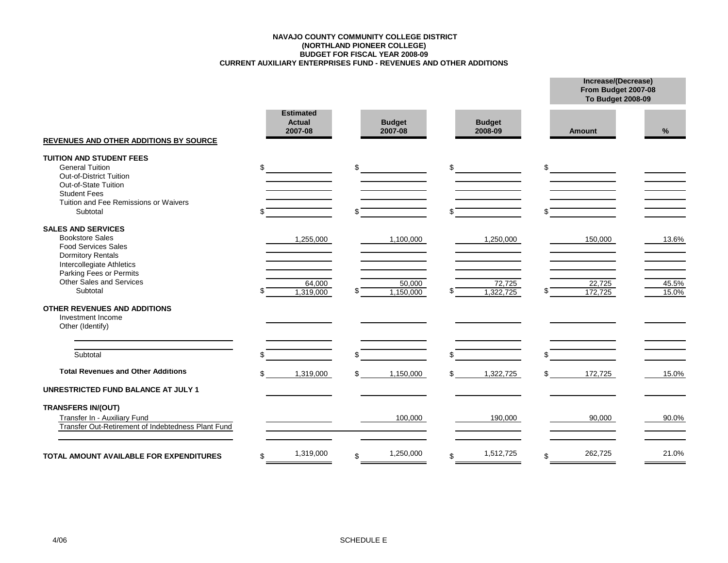#### **CURRENT AUXILIARY ENTERPRISES FUND - REVENUES AND OTHER ADDITIONS BUDGET FOR FISCAL YEAR 2008-09 (NORTHLAND PIONEER COLLEGE) NAVAJO COUNTY COMMUNITY COLLEGE DISTRICT**

|                                                                                                                                                                                                   |     |                                              |                           |    |                          |    | From Budget 2007-08<br>To Budget 2008-09 |                |  |  |
|---------------------------------------------------------------------------------------------------------------------------------------------------------------------------------------------------|-----|----------------------------------------------|---------------------------|----|--------------------------|----|------------------------------------------|----------------|--|--|
| <b>REVENUES AND OTHER ADDITIONS BY SOURCE</b>                                                                                                                                                     |     | <b>Estimated</b><br><b>Actual</b><br>2007-08 | <b>Budget</b><br>2007-08  |    | <b>Budget</b><br>2008-09 |    | <b>Amount</b>                            | %              |  |  |
| <b>TUITION AND STUDENT FEES</b><br><b>General Tuition</b><br><b>Out-of-District Tuition</b><br>Out-of-State Tuition<br><b>Student Fees</b><br>Tuition and Fee Remissions or Waivers<br>Subtotal   | \$  |                                              | \$                        | \$ |                          | \$ |                                          |                |  |  |
| <b>SALES AND SERVICES</b><br><b>Bookstore Sales</b><br><b>Food Services Sales</b><br><b>Dormitory Rentals</b><br>Intercollegiate Athletics<br>Parking Fees or Permits<br>Other Sales and Services |     | 1,255,000                                    | 1,100,000                 |    | 1,250,000                |    | 150,000                                  | 13.6%          |  |  |
| Subtotal<br>OTHER REVENUES AND ADDITIONS<br>Investment Income<br>Other (Identify)                                                                                                                 |     | 64,000<br>1,319,000                          | \$<br>50,000<br>1,150,000 |    | 72,725<br>1.322.725      |    | 22,725<br>172,725                        | 45.5%<br>15.0% |  |  |
| Subtotal                                                                                                                                                                                          |     |                                              | \$                        |    |                          | \$ |                                          |                |  |  |
| <b>Total Revenues and Other Additions</b><br><b>UNRESTRICTED FUND BALANCE AT JULY 1</b>                                                                                                           | \$. | 1,319,000                                    | \$<br>1,150,000           | £. | 1,322,725                | £. | 172,725                                  | 15.0%          |  |  |
| <b>TRANSFERS IN/(OUT)</b><br>Transfer In - Auxiliary Fund<br>Transfer Out-Retirement of Indebtedness Plant Fund                                                                                   |     |                                              | 100,000                   |    | 190,000                  |    | 90,000                                   | 90.0%          |  |  |
| <b>TOTAL AMOUNT AVAILABLE FOR EXPENDITURES</b>                                                                                                                                                    | \$  | 1,319,000                                    | \$<br>1,250,000           | \$ | 1,512,725                | \$ | 262,725                                  | 21.0%          |  |  |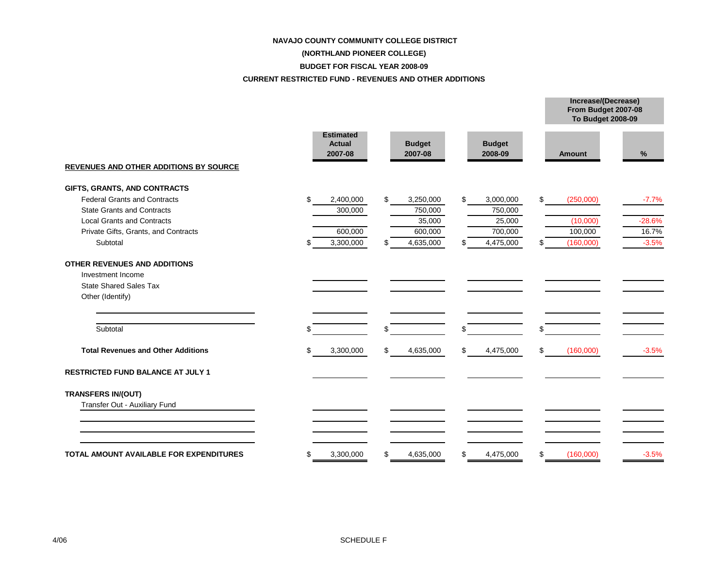#### **NAVAJO COUNTY COMMUNITY COLLEGE DISTRICT**

## **(NORTHLAND PIONEER COLLEGE)**

#### **BUDGET FOR FISCAL YEAR 2008-09**

#### **CURRENT RESTRICTED FUND - REVENUES AND OTHER ADDITIONS**

|                                                |                                              |                          |    |                          | From Budget 2007-08<br><b>To Budget 2008-09</b> |          |
|------------------------------------------------|----------------------------------------------|--------------------------|----|--------------------------|-------------------------------------------------|----------|
| <b>REVENUES AND OTHER ADDITIONS BY SOURCE</b>  | <b>Estimated</b><br><b>Actual</b><br>2007-08 | <b>Budget</b><br>2007-08 |    | <b>Budget</b><br>2008-09 | Amount                                          | %        |
| GIFTS, GRANTS, AND CONTRACTS                   |                                              |                          |    |                          |                                                 |          |
| <b>Federal Grants and Contracts</b>            | \$<br>2,400,000                              | \$<br>3,250,000          | \$ | 3,000,000                | \$<br>(250,000)                                 | $-7.7%$  |
| <b>State Grants and Contracts</b>              | 300,000                                      | 750,000                  |    | 750,000                  |                                                 |          |
| <b>Local Grants and Contracts</b>              |                                              | 35,000                   |    | 25,000                   | (10,000)                                        | $-28.6%$ |
| Private Gifts, Grants, and Contracts           | 600,000                                      | 600,000                  |    | 700,000                  | 100,000                                         | 16.7%    |
| Subtotal                                       | 3,300,000                                    | \$<br>4,635,000          | \$ | 4,475,000                | \$<br>(160,000)                                 | $-3.5%$  |
| OTHER REVENUES AND ADDITIONS                   |                                              |                          |    |                          |                                                 |          |
| Investment Income                              |                                              |                          |    |                          |                                                 |          |
| <b>State Shared Sales Tax</b>                  |                                              |                          |    |                          |                                                 |          |
| Other (Identify)                               |                                              |                          |    |                          |                                                 |          |
| Subtotal                                       |                                              | \$                       | \$ |                          | \$                                              |          |
| <b>Total Revenues and Other Additions</b>      | \$<br>3,300,000                              | \$<br>4,635,000          | \$ | 4,475,000                | \$<br>(160,000)                                 | $-3.5%$  |
| <b>RESTRICTED FUND BALANCE AT JULY 1</b>       |                                              |                          |    |                          |                                                 |          |
| <b>TRANSFERS IN/(OUT)</b>                      |                                              |                          |    |                          |                                                 |          |
| Transfer Out - Auxiliary Fund                  |                                              |                          |    |                          |                                                 |          |
|                                                |                                              |                          |    |                          |                                                 |          |
| <b>TOTAL AMOUNT AVAILABLE FOR EXPENDITURES</b> | \$<br>3,300,000                              | \$<br>4,635,000          | S  | 4,475,000                | \$<br>(160,000)                                 | $-3.5%$  |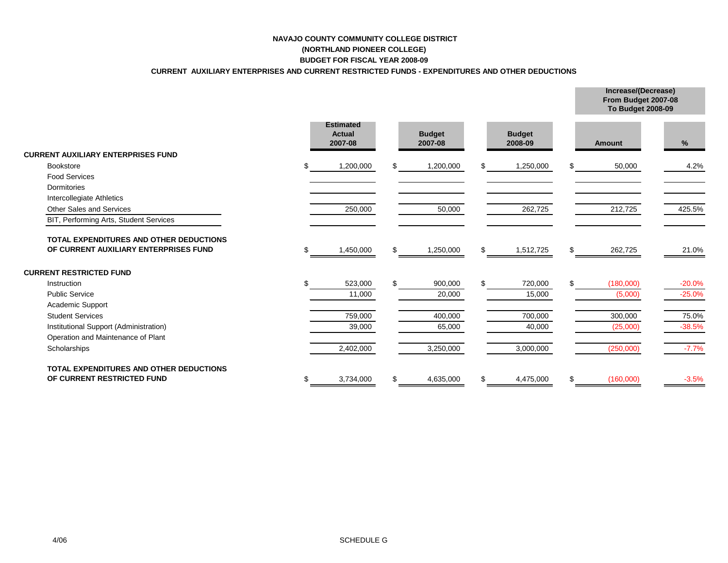## **NAVAJO COUNTY COMMUNITY COLLEGE DISTRICT (NORTHLAND PIONEER COLLEGE)**

## **BUDGET FOR FISCAL YEAR 2008-09**

## **CURRENT AUXILIARY ENTERPRISES AND CURRENT RESTRICTED FUNDS - EXPENDITURES AND OTHER DEDUCTIONS**

|                                                                                  |   |                                       |  |                          |     |                          |     | From Budget 2007-08<br><b>To Budget 2008-09</b> |          |  |  |
|----------------------------------------------------------------------------------|---|---------------------------------------|--|--------------------------|-----|--------------------------|-----|-------------------------------------------------|----------|--|--|
|                                                                                  |   | <b>Estimated</b><br>Actual<br>2007-08 |  | <b>Budget</b><br>2007-08 |     | <b>Budget</b><br>2008-09 |     | Amount                                          | %        |  |  |
| <b>CURRENT AUXILIARY ENTERPRISES FUND</b>                                        |   |                                       |  |                          |     |                          |     |                                                 |          |  |  |
| <b>Bookstore</b>                                                                 |   | 1,200,000                             |  | 1,200,000                |     | 1,250,000                |     | 50,000                                          | 4.2%     |  |  |
| <b>Food Services</b>                                                             |   |                                       |  |                          |     |                          |     |                                                 |          |  |  |
| Dormitories                                                                      |   |                                       |  |                          |     |                          |     |                                                 |          |  |  |
| Intercollegiate Athletics                                                        |   |                                       |  |                          |     |                          |     |                                                 |          |  |  |
| <b>Other Sales and Services</b>                                                  |   | 250,000                               |  | 50,000                   |     | 262,725                  |     | 212,725                                         | 425.5%   |  |  |
| BIT, Performing Arts, Student Services                                           |   |                                       |  |                          |     |                          |     |                                                 |          |  |  |
| TOTAL EXPENDITURES AND OTHER DEDUCTIONS<br>OF CURRENT AUXILIARY ENTERPRISES FUND |   | 1,450,000                             |  | 1,250,000                | S   | 1,512,725                | \$. | 262,725                                         | 21.0%    |  |  |
| <b>CURRENT RESTRICTED FUND</b>                                                   |   |                                       |  |                          |     |                          |     |                                                 |          |  |  |
| Instruction                                                                      |   | 523,000                               |  | 900,000                  | \$. | 720,000                  | \$. | (180,000)                                       | $-20.0%$ |  |  |
| <b>Public Service</b>                                                            |   | 11,000                                |  | 20,000                   |     | 15,000                   |     | (5,000)                                         | $-25.0%$ |  |  |
| Academic Support                                                                 |   |                                       |  |                          |     |                          |     |                                                 |          |  |  |
| <b>Student Services</b>                                                          |   | 759,000                               |  | 400,000                  |     | 700,000                  |     | 300,000                                         | 75.0%    |  |  |
| Institutional Support (Administration)                                           |   | 39,000                                |  | 65,000                   |     | 40,000                   |     | (25,000)                                        | $-38.5%$ |  |  |
| Operation and Maintenance of Plant                                               |   |                                       |  |                          |     |                          |     |                                                 |          |  |  |
| Scholarships                                                                     |   | 2,402,000                             |  | 3,250,000                |     | 3,000,000                |     | (250,000)                                       | $-7.7%$  |  |  |
| <b>TOTAL EXPENDITURES AND OTHER DEDUCTIONS</b>                                   |   |                                       |  |                          |     |                          |     |                                                 |          |  |  |
| OF CURRENT RESTRICTED FUND                                                       | S | 3,734,000                             |  | 4,635,000                | \$  | 4,475,000                | \$  | (160,000)                                       | $-3.5%$  |  |  |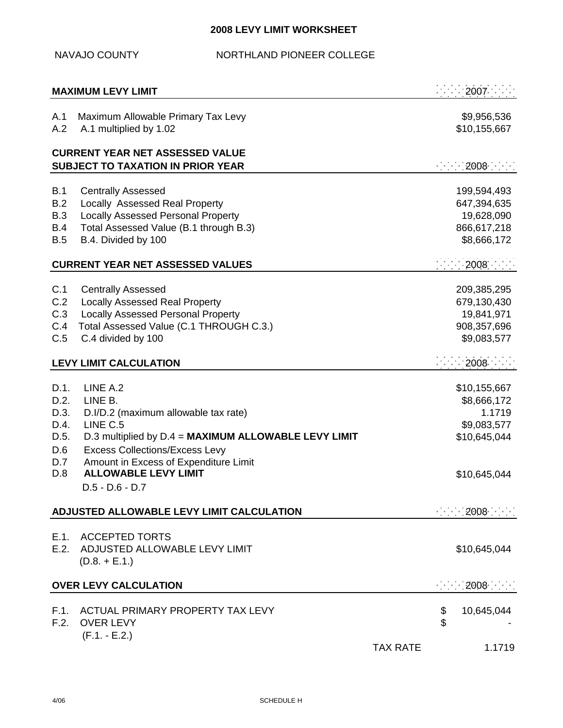# **2008 LEVY LIMIT WORKSHEET**

NAVAJO COUNTY NORTHLAND PIONEER COLLEGE

|                                                           | <b>MAXIMUM LEVY LIMIT</b>                                                                                                                                                                                                                                             |                 |                      | 2007                                                                                 |
|-----------------------------------------------------------|-----------------------------------------------------------------------------------------------------------------------------------------------------------------------------------------------------------------------------------------------------------------------|-----------------|----------------------|--------------------------------------------------------------------------------------|
| A.1<br>A.2                                                | Maximum Allowable Primary Tax Levy<br>A.1 multiplied by 1.02                                                                                                                                                                                                          |                 |                      | \$9,956,536<br>\$10,155,667                                                          |
|                                                           | <b>CURRENT YEAR NET ASSESSED VALUE</b><br><b>SUBJECT TO TAXATION IN PRIOR YEAR</b>                                                                                                                                                                                    |                 |                      | 2008                                                                                 |
| B.1<br>B.2<br><b>B.3</b><br><b>B.4</b><br>B.5             | <b>Centrally Assessed</b><br>Locally Assessed Real Property<br><b>Locally Assessed Personal Property</b><br>Total Assessed Value (B.1 through B.3)<br>B.4. Divided by 100<br><b>CURRENT YEAR NET ASSESSED VALUES</b>                                                  |                 |                      | 199,594,493<br>647,394,635<br>19,628,090<br>866,617,218<br>\$8,666,172<br>2008       |
| C.1<br>C.2<br>C.3<br>C.4<br>C.5                           | <b>Centrally Assessed</b><br><b>Locally Assessed Real Property</b><br><b>Locally Assessed Personal Property</b><br>Total Assessed Value (C.1 THROUGH C.3.)<br>C.4 divided by 100                                                                                      |                 |                      | 209,385,295<br>679,130,430<br>19,841,971<br>908,357,696<br>\$9,083,577               |
|                                                           | <b>LEVY LIMIT CALCULATION</b>                                                                                                                                                                                                                                         |                 |                      | 2008                                                                                 |
| D.1.<br>D.2.<br>D.3.<br>D.4.<br>D.5.<br>D.6<br>D.7<br>D.8 | LINE A.2<br>LINE B.<br>D.I/D.2 (maximum allowable tax rate)<br>LINE C.5<br>D.3 multiplied by D.4 = MAXIMUM ALLOWABLE LEVY LIMIT<br><b>Excess Collections/Excess Levy</b><br>Amount in Excess of Expenditure Limit<br><b>ALLOWABLE LEVY LIMIT</b><br>$D.5 - D.6 - D.7$ |                 |                      | \$10,155,667<br>\$8,666,172<br>1.1719<br>\$9,083,577<br>\$10,645,044<br>\$10,645,044 |
|                                                           | ADJUSTED ALLOWABLE LEVY LIMIT CALCULATION                                                                                                                                                                                                                             |                 |                      | 2008                                                                                 |
| E.2.                                                      | E.1. ACCEPTED TORTS<br>ADJUSTED ALLOWABLE LEVY LIMIT<br>$(D.8. + E.1.)$                                                                                                                                                                                               |                 |                      | \$10,645,044                                                                         |
|                                                           | <b>OVER LEVY CALCULATION</b>                                                                                                                                                                                                                                          |                 |                      | 2008                                                                                 |
| F.1.<br>F.2.                                              | ACTUAL PRIMARY PROPERTY TAX LEVY<br><b>OVER LEVY</b><br>$(F.1 - E.2.)$                                                                                                                                                                                                | <b>TAX RATE</b> | \$<br>$\mathfrak{P}$ | 10,645,044<br>1.1719                                                                 |
|                                                           |                                                                                                                                                                                                                                                                       |                 |                      |                                                                                      |